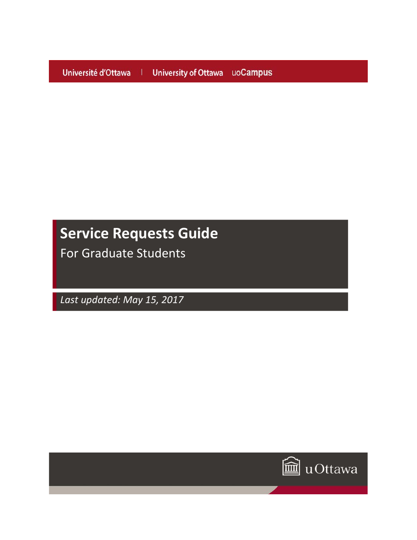Université d'Ottawa | University of Ottawa uoCampus

# **Service Requests Guide**

For Graduate Students

*Last updated: May 15, 2017*

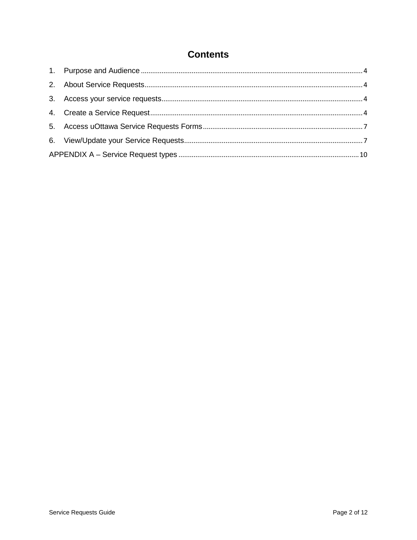# **Contents**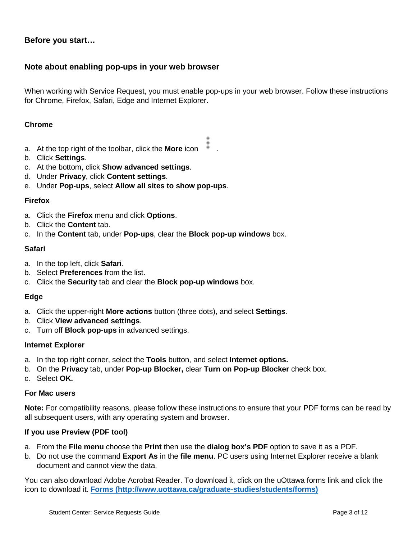# **Before you start…**

# **Note about enabling pop-ups in your web browser**

When working with Service Request, you must enable pop-ups in your web browser. Follow these instructions for Chrome, Firefox, Safari, Edge and Internet Explorer.

# **Chrome**

- a. At the top right of the toolbar, click the **More** icon .
- b. Click **Settings**.
- c. At the bottom, click **Show advanced settings**.
- d. Under **Privacy**, click **Content settings**.
- e. Under **Pop-ups**, select **Allow all sites to show pop-ups**.

# **Firefox**

- a. Click the **Firefox** menu and click **Options**.
- b. Click the **Content** tab.
- c. In the **Content** tab, under **Pop-ups**, clear the **Block pop-up windows** box.

## **Safari**

- a. In the top left, click **Safari**.
- b. Select **Preferences** from the list.
- c. Click the **Security** tab and clear the **Block pop-up windows** box.

# **Edge**

- a. Click the upper-right **More actions** button (three dots), and select **Settings**.
- b. Click **View advanced settings**.
- c. Turn off **Block pop-ups** in advanced settings.

# **Internet Explorer**

- a. In the top right corner, select the **Tools** button, and select **Internet options.**
- b. On the **Privacy** tab, under **Pop-up Blocker,** clear **Turn on Pop-up Blocker** check box.
- c. Select **OK.**

# **For Mac users**

**Note:** For compatibility reasons, please follow these instructions to ensure that your PDF forms can be read by all subsequent users, with any operating system and browser.

# **If you use Preview (PDF tool)**

- a. From the **File menu** choose the **Print** then use the **dialog box's PDF** option to save it as a PDF.
- b. Do not use the command **Export As** in the **file menu**. PC users using Internet Explorer receive a blank document and cannot view the data.

You can also download Adobe Acrobat Reader. To download it, click on the uOttawa forms link and click the icon to download it. **[Forms \(http://www.uottawa.ca/graduate-studies/students/forms\)](http://www.uottawa.ca/graduate-studies/students/forms)**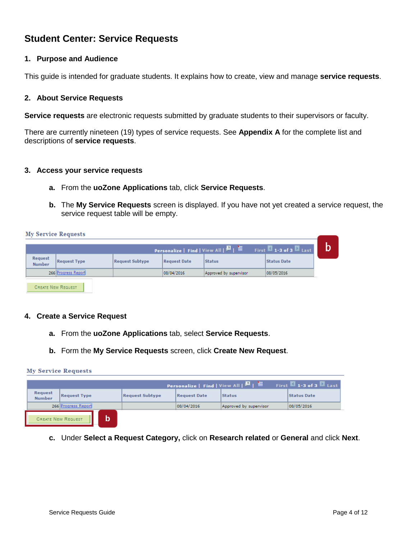# **Student Center: Service Requests**

# <span id="page-3-0"></span>**1. Purpose and Audience**

This guide is intended for graduate students. It explains how to create, view and manage **service requests**.

# <span id="page-3-1"></span>**2. About Service Requests**

**Service requests** are electronic requests submitted by graduate students to their supervisors or faculty.

There are currently nineteen (19) types of service requests. See **Appendix A** for the complete list and descriptions of **service requests**.

## <span id="page-3-2"></span>**3. Access your service requests**

- **a.** From the **uoZone Applications** tab, click **Service Requests**.
- **b.** The **My Service Requests** screen is displayed. If you have not yet created a service request, the service request table will be empty.

**My Service Requests** 

CREATE NEW REQUEST

|                   |                     |                        |              |                        | First $\blacksquare$ 1-3 of 3 $\blacksquare$ Last |  |
|-------------------|---------------------|------------------------|--------------|------------------------|---------------------------------------------------|--|
| Request<br>Number | <b>Request Type</b> | <b>Request Subtype</b> | Request Date | <b>Status</b>          | <b>Status Date</b>                                |  |
|                   | 266 Progress Report |                        | 08/04/2016   | Approved by supervisor | 08/05/2016                                        |  |
|                   |                     |                        |              |                        |                                                   |  |

#### <span id="page-3-3"></span>**4. Create a Service Request**

- **a.** From the **uoZone Applications** tab, select **Service Requests**.
- **b.** Form the **My Service Requests** screen, click **Create New Request**.

#### **My Service Requests**

|                                 |                     |                        |                     | Personalize   Find   View All   D   1 | First $M$ 1-3 of 3 $M$ Last |
|---------------------------------|---------------------|------------------------|---------------------|---------------------------------------|-----------------------------|
| <b>Request</b><br><b>Number</b> | <b>Request Type</b> | <b>Request Subtype</b> | <b>Request Date</b> | <b>Status</b>                         | <b>Status Date</b>          |
|                                 | 266 Progress Report |                        | 08/04/2016          | Approved by supervisor                | 08/05/2016                  |
| <b>CREATE NEW REQUEST</b>       |                     |                        |                     |                                       |                             |

**c.** Under **Select a Request Category,** click on **Research related** or **General** and click **Next**.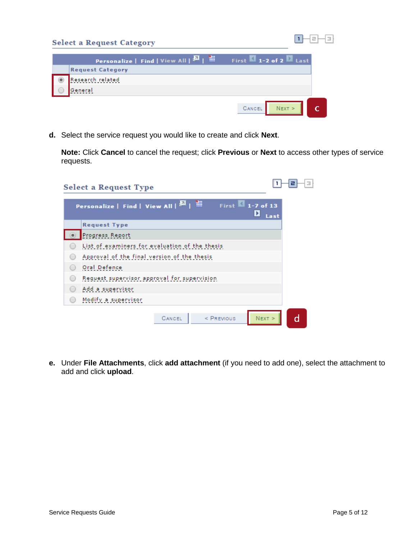| Personalize   Find   View All   0   1   1 | First $\blacksquare$ 1-2 of 2 $\blacksquare$ Last |
|-------------------------------------------|---------------------------------------------------|
| <b>Request Category</b>                   |                                                   |
| Research related                          |                                                   |
|                                           |                                                   |

**d.** Select the service request you would like to create and click **Next**.

**Note:** Click **Cancel** to cancel the request; click **Previous** or **Next** to access other types of service requests.

| <b>Select a Request Type</b>                                                       | Э    |
|------------------------------------------------------------------------------------|------|
| Personalize   Find   View All              <br>First $\blacksquare$ 1-7 of 13<br>× | Last |
| <b>Request Type</b>                                                                |      |
| Progress Report                                                                    |      |
| List of examiners for evaluation of the thesis                                     |      |
| Approval of the final version of the thesis                                        |      |
| Oral Defence                                                                       |      |
| Request supervisor approval for supervision                                        |      |
| Add a supervisor                                                                   |      |
| Modify a supervisor                                                                |      |
| $N$ EXT $>$<br>CANCEL<br>$<$ PREVIOUS                                              | d    |

**e.** Under **File Attachments**, click **add attachment** (if you need to add one), select the attachment to add and click **upload**.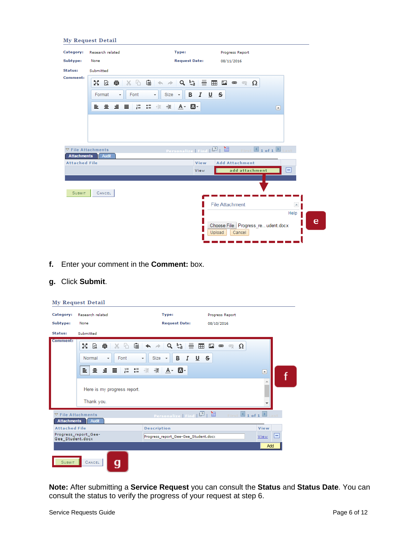|                      | <b>My Request Detail</b>                   |                                                                         |                                                       |             |
|----------------------|--------------------------------------------|-------------------------------------------------------------------------|-------------------------------------------------------|-------------|
| Category:            | Research related                           | Type:                                                                   | Progress Report                                       |             |
| Subtype:             | None                                       | <b>Request Date:</b>                                                    | 08/11/2016                                            |             |
| Status:              | Submitted                                  |                                                                         |                                                       |             |
| Comment:             | $\mathbb{R} \otimes \mathbb{R}$            | $356$ $\rightarrow$ $\sim$ $\sim$ 5 $\equiv$ $\equiv$ $\equiv$ $\equiv$ | ⇔ ෙ Ω                                                 |             |
|                      | Font<br>Format<br>$\scriptstyle\rm v$<br>۰ | $Size - $<br>В<br>I<br>⊍                                                | s                                                     |             |
|                      | E S S B                                    |                                                                         |                                                       | ⊡           |
|                      |                                            |                                                                         |                                                       |             |
|                      |                                            |                                                                         |                                                       |             |
| <b>Attachments</b>   | $\nabla$ File Attachments<br>Audit         | Personalize   Find   0   1                                              |                                                       | 1 of 1 last |
| <b>Attached File</b> |                                            | View                                                                    | <b>Add Attachment</b>                                 |             |
|                      |                                            | View                                                                    | add attachment                                        | н           |
|                      |                                            |                                                                         |                                                       |             |
| <b>SUBMIT</b>        | CANCEL                                     |                                                                         |                                                       |             |
|                      |                                            |                                                                         | <b>File Attachment</b>                                | $\times$    |
|                      |                                            |                                                                         |                                                       | Help        |
|                      |                                            |                                                                         | Choose File Progress_reudent.docx<br>Upload<br>Cancel |             |
|                      |                                            |                                                                         |                                                       |             |

**f.** Enter your comment in the **Comment:** box.

# **g.** Click **Submit**.

|                      | <b>My Request Detail</b>                                                                                                                                                                               |                                                                                                      |                                              |                       |
|----------------------|--------------------------------------------------------------------------------------------------------------------------------------------------------------------------------------------------------|------------------------------------------------------------------------------------------------------|----------------------------------------------|-----------------------|
| Category:            | Research related                                                                                                                                                                                       | Type:                                                                                                | Progress Report                              |                       |
| Subtype:             | None                                                                                                                                                                                                   | <b>Request Date:</b>                                                                                 | 08/10/2016                                   |                       |
| Status:              | Submitted                                                                                                                                                                                              |                                                                                                      |                                              |                       |
| Comment:             | $X G$ $\oplus$ $\bullet$ $\rightarrow$<br>M<br>Q<br>貢<br>Normal<br>Font<br>$\overline{\phantom{a}}$<br>1를 <b>3를</b> 레리<br>亖<br>$\equiv$ $\equiv$ $\equiv$<br>Here is my progress report.<br>Thank you. | $Q$ $\zeta_0$<br>틀<br>⊞<br>U S<br>В<br>I<br>$Size -$<br>$\overline{\phantom{a}}$<br><b>推 A · A ·</b> | Ω<br>مٹ<br>د<br>$\bullet$                    | $\blacktriangle$<br>A |
| <b>Attachments</b>   | $\nabla$ File Attachments<br>Audit                                                                                                                                                                     | Personalize   Find   [7]                                                                             | 讍<br>$\blacksquare$ 1 of 1 $\blacksquare$ La |                       |
| <b>Attached File</b> |                                                                                                                                                                                                        | <b>Description</b>                                                                                   |                                              | View                  |
| Gee Student.docx     | Progress report Gee-                                                                                                                                                                                   | Progress_report_Gee-Gee_Student.docx                                                                 |                                              | н<br>View             |
|                      |                                                                                                                                                                                                        |                                                                                                      |                                              | Add                   |
| <b>SUBMIT</b>        | CANCEL                                                                                                                                                                                                 |                                                                                                      |                                              |                       |

**Note:** After submitting a **Service Request** you can consult the **Status** and **Status Date**. You can consult the status to verify the progress of your request at step 6.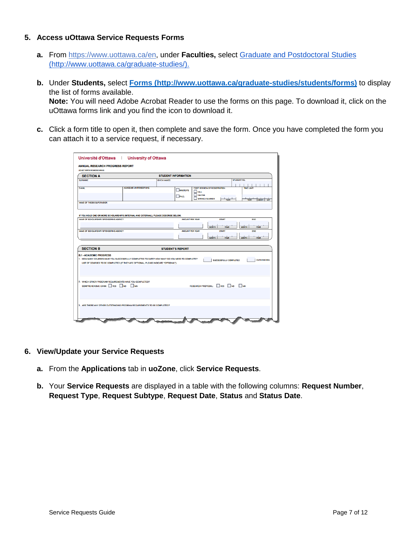# <span id="page-6-0"></span>**5. Access uOttawa Service Requests Forms**

- **a.** From https://www.uottawa.ca/en, under **Faculties,** select [Graduate and Postdoctoral](http://www.uottawa.ca/graduate-studies/) Studies (http://www.uottawa.ca/graduate-studies/).
- **b.** Under **Students,** select **[Forms \(http://www.uottawa.ca/graduate-studies/students/forms\)](http://www.uottawa.ca/graduate-studies/students/forms)** to display the list of forms available.

**Note:** You will need Adobe Acrobat Reader to use the forms on this page. To download it, click on the uOttawa forms link and you find the icon to download it.

**c.** Click a form title to open it, then complete and save the form. Once you have completed the form you can attach it to a service request, if necessary.

| <b>SECTION A</b>                                             |                                                                                                                                                                                       |                    | <b>STUDENT INFORMATION</b> |                                                                                                   |                               |              |                                                |
|--------------------------------------------------------------|---------------------------------------------------------------------------------------------------------------------------------------------------------------------------------------|--------------------|----------------------------|---------------------------------------------------------------------------------------------------|-------------------------------|--------------|------------------------------------------------|
| <b>SURNAME</b>                                               |                                                                                                                                                                                       | <b>GIVEN NAMES</b> |                            |                                                                                                   |                               | STUDENT NO   |                                                |
| <b>E-MAIL</b><br><b>NAME OF THESIS SUPERVISOR</b>            | <b>ACADEMIC UNIT/DISCIPLINE</b>                                                                                                                                                       |                    | <b>MASTER'S</b><br>PHD.    | <b>FIRST SESSION OF REGISTRATION</b><br>$\square$ FALL<br><b>NINTER</b><br><b>SPRING / SUMMER</b> | <b>YEAR</b>                   |              | <b>TIME LIMIT</b><br>MONTH BAY<br><b>VE AU</b> |
|                                                              | IF YOU HOLD ONE OR MORE SCHOLARSHIPS (INTERNAL AND EXTERNAL). PLEASE DESCRIBE BELOW.                                                                                                  |                    |                            |                                                                                                   |                               |              |                                                |
| NAME OF SCHOLARSHIP / SPONSORING AGENCY                      |                                                                                                                                                                                       |                    | <b>AMOUNT PER YEAR</b>     |                                                                                                   | <b>START</b>                  |              | <b>END</b>                                     |
|                                                              |                                                                                                                                                                                       |                    |                            |                                                                                                   | <b>MONTH</b><br><b>YEAR</b>   | MONTH        | <b>YEAR</b>                                    |
| NAME OF SCHOLARSHIP / SPONSORING AGENCY                      |                                                                                                                                                                                       |                    | <b>AMOUNT PER YEAR</b>     |                                                                                                   | <b>START</b>                  |              | END                                            |
|                                                              |                                                                                                                                                                                       |                    |                            |                                                                                                   |                               |              |                                                |
|                                                              |                                                                                                                                                                                       |                    |                            |                                                                                                   | <b>MONTH</b><br><b>YFAR</b>   | <b>MONTH</b> | <b>YFAR</b>                                    |
|                                                              |                                                                                                                                                                                       |                    |                            |                                                                                                   |                               |              |                                                |
| <b>SECTION B</b>                                             |                                                                                                                                                                                       |                    | <b>STUDENT'S REPORT</b>    |                                                                                                   |                               |              |                                                |
|                                                              | 1. HOW MANY COURSES HAVE YOU SUCCESSFULLY COMPLETED TO DATE? HOW MANY DO YOU NEED TO COMPLETE?<br>LIST OF COURSES TO BE COMPLETED (IF THEY ARE OPTIONAL, PLEASE INDICATE "OPTIONAL"): |                    |                            |                                                                                                   | <b>SUCCESSFULLY COMPLETED</b> |              | <b>OUTSTANDING</b>                             |
| <b>B.1 - ACADEMIC PROGRESS</b><br>COMPREHENSIVE EXAM: VES NO | 2. WHICH OTHER PROGRAM REQUIREMENTS HAVE YOU COMPLETED?<br>NA                                                                                                                         |                    |                            | RESEARCH PROPOSAL: VES NO NA                                                                      |                               |              |                                                |

- <span id="page-6-1"></span>**6. View/Update your Service Requests**
	- **a.** From the **Applications** tab in **uoZone**, click **Service Requests**.
	- **b.** Your **Service Requests** are displayed in a table with the following columns: **Request Number**, **Request Type**, **Request Subtype**, **Request Date**, **Status** and **Status Date**.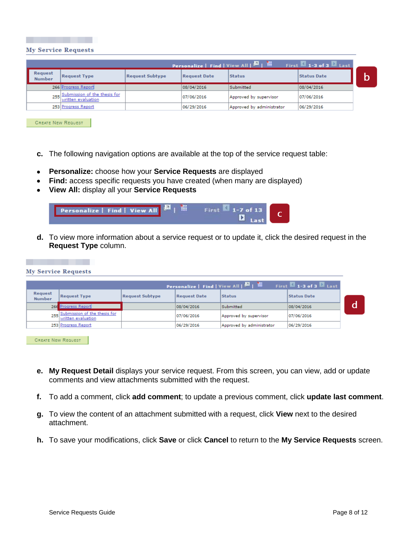

|                                 |                                                        |                        |                     | <b>Personalize</b>   Find   View All   <b>All   With</b> | First $\blacksquare$ 1-3 of 3 $\blacksquare$ Last |  |
|---------------------------------|--------------------------------------------------------|------------------------|---------------------|----------------------------------------------------------|---------------------------------------------------|--|
| <b>Request</b><br><b>Number</b> | <b>Request Type</b>                                    | <b>Request Subtype</b> | <b>Request Date</b> | <b>Status</b>                                            | <b>Status Date</b>                                |  |
|                                 | 266 Progress Report                                    |                        | 08/04/2016          | Submitted                                                | 08/04/2016                                        |  |
|                                 | 255 Submission of the thesis for<br>written evaluation |                        | 07/06/2016          | Approved by supervisor                                   | 07/06/2016                                        |  |
|                                 | 253 Progress Report                                    |                        | 06/29/2016          | Approved by administrator                                | 06/29/2016                                        |  |

**CREATE NEW REQUEST** 

- **c.** The following navigation options are available at the top of the service request table:
- **Personalize:** choose how your **Service Requests** are displayed
- **Find:** access specific requests you have created (when many are displayed)
- **View All:** display all your **Service Requests**

| Personalize   Find   View All |  |  | $M_{1-7}$ of 13 |  |
|-------------------------------|--|--|-----------------|--|
|                               |  |  |                 |  |

**d.** To view more information about a service request or to update it, click the desired request in the **Request Type** column.

|                                 | <b>My Service Requests</b>                             |                        |                     |                                       |                                                   |   |
|---------------------------------|--------------------------------------------------------|------------------------|---------------------|---------------------------------------|---------------------------------------------------|---|
|                                 |                                                        |                        |                     | Personalize   Find   View All   0   1 | First $\blacksquare$ 1-3 of 3 $\blacksquare$ Last |   |
| <b>Request</b><br><b>Number</b> | <b>Request Type</b>                                    | <b>Request Subtype</b> | <b>Request Date</b> | <b>Status</b>                         | <b>Status Date</b>                                |   |
|                                 | 266 Progress Report                                    |                        | 08/04/2016          | Submitted                             | 08/04/2016                                        | d |
|                                 | 255 Submission of the thesis for<br>written evaluation |                        | 07/06/2016          | Approved by supervisor                | 07/06/2016                                        |   |
|                                 | 253 Progress Report                                    |                        | 06/29/2016          | Approved by administrator             | 06/29/2016                                        |   |

**CREATE NEW REQUEST** 

- **e. My Request Detail** displays your service request. From this screen, you can view, add or update comments and view attachments submitted with the request.
- **f.** To add a comment, click **add comment**; to update a previous comment, click **update last comment**.
- **g.** To view the content of an attachment submitted with a request, click **View** next to the desired attachment.
- **h.** To save your modifications, click **Save** or click **Cancel** to return to the **My Service Requests** screen.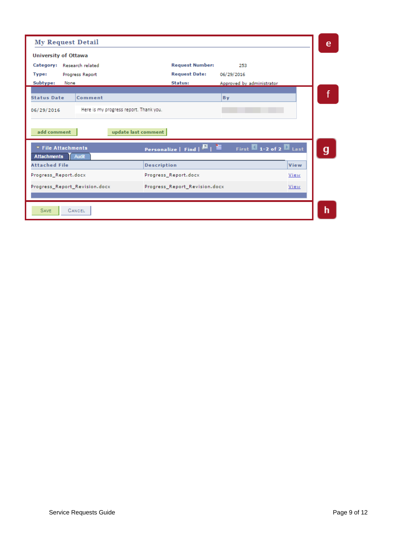| <b>My Request Detail</b>                                                                |                                                                                    | e |
|-----------------------------------------------------------------------------------------|------------------------------------------------------------------------------------|---|
| <b>University of Ottawa</b>                                                             |                                                                                    |   |
| Category:<br>Research related                                                           | <b>Request Number:</b><br>253                                                      |   |
| Type:<br>Progress Report                                                                | <b>Request Date:</b><br>06/29/2016                                                 |   |
| Subtype:<br>None                                                                        | Status:<br>Approved by administrator                                               |   |
| <b>Status Date</b><br>Comment                                                           | By                                                                                 |   |
| Here is my progress report. Thank you.<br>06/29/2016                                    |                                                                                    |   |
| add comment<br>update last comment<br>▼ File Attachments<br><b>Attachments</b><br>Audit | First 1-2 of 2 Last<br><b>Personalize</b>   Find   $\blacksquare$   $\blacksquare$ | g |
| <b>Attached File</b>                                                                    | View<br><b>Description</b>                                                         |   |
| Progress_Report.docx                                                                    | Progress_Report.docx<br>View                                                       |   |
| Progress_Report_Revision.docx                                                           | Progress_Report_Revision.docx<br>View                                              |   |
| CANCEL<br><b>SAVE</b>                                                                   |                                                                                    | h |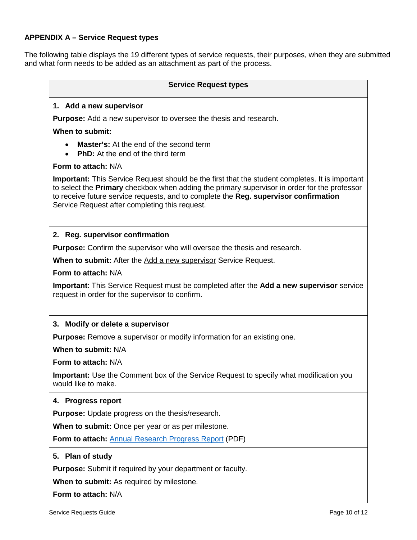# <span id="page-9-0"></span>**APPENDIX A – Service Request types**

The following table displays the 19 different types of service requests, their purposes, when they are submitted and what form needs to be added as an attachment as part of the process.

# **Service Request types 1. Add a new supervisor Purpose:** Add a new supervisor to oversee the thesis and research. **When to submit:**  • **Master's:** At the end of the second term • **PhD:** At the end of the third term **Form to attach:** N/A **Important:** This Service Request should be the first that the student completes. It is important to select the **Primary** checkbox when adding the primary supervisor in order for the professor to receive future service requests, and to complete the **Reg. supervisor confirmation**  Service Request after completing this request. **2. Reg. supervisor confirmation Purpose:** Confirm the supervisor who will oversee the thesis and research. **When to submit:** After the Add a new supervisor Service Request. **Form to attach:** N/A **Important**: This Service Request must be completed after the **Add a new supervisor** service request in order for the supervisor to confirm. **3. Modify or delete a supervisor Purpose:** Remove a supervisor or modify information for an existing one. **When to submit:** N/A **Form to attach:** N/A **Important:** Use the Comment box of the Service Request to specify what modification you would like to make. **4. Progress report Purpose:** Update progress on the thesis/research. **When to submit:** Once per year or as per milestone. **Form to attach:** [Annual Research Progress Report](http://www.uottawa.ca/graduate-studies/sites/www.uottawa.ca.graduate-studies/files/esup5189_e.pdf) (PDF) **5. Plan of study Purpose:** Submit if required by your department or faculty. **When to submit:** As required by milestone. **Form to attach:** N/A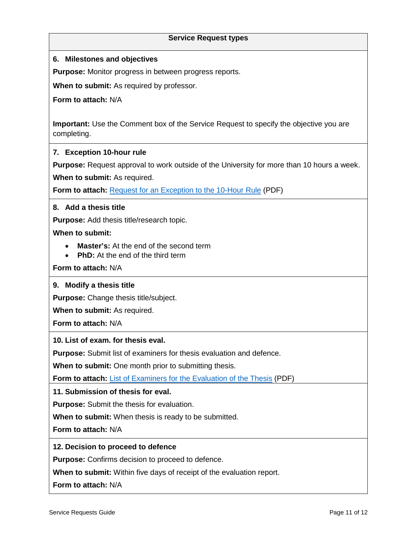# **Service Request types**

# **6. Milestones and objectives**

**Purpose:** Monitor progress in between progress reports.

**When to submit:** As required by professor.

**Form to attach:** N/A

**Important:** Use the Comment box of the Service Request to specify the objective you are completing.

# **7. Exception 10-hour rule**

**Purpose:** Request approval to work outside of the University for more than 10 hours a week. **When to submit:** As required.

Form to attach: **[Request for an Exception to the 10-Hour Rule](http://www.uottawa.ca/graduate-studies/sites/www.uottawa.ca.graduate-studies/files/10h_e.pdf) (PDF)** 

# **8. Add a thesis title**

**Purpose:** Add thesis title/research topic.

**When to submit:** 

- **Master's:** At the end of the second term
- **PhD:** At the end of the third term

**Form to attach:** N/A

# **9. Modify a thesis title**

**Purpose:** Change thesis title/subject.

**When to submit:** As required.

**Form to attach:** N/A

# **10. List of exam. for thesis eval.**

**Purpose:** Submit list of examiners for thesis evaluation and defence.

**When to submit:** One month prior to submitting thesis.

Form to attach: **[List of Examiners for the](http://www.uottawa.ca/graduate-studies/sites/www.uottawa.ca.graduate-studies/files/formlistedexaminateurs.pdf) Evaluation of the Thesis (PDF)** 

**11. Submission of thesis for eval.**

**Purpose:** Submit the thesis for evaluation.

**When to submit:** When thesis is ready to be submitted.

**Form to attach:** N/A

# **12. Decision to proceed to defence**

**Purpose:** Confirms decision to proceed to defence.

**When to submit:** Within five days of receipt of the evaluation report.

**Form to attach:** N/A